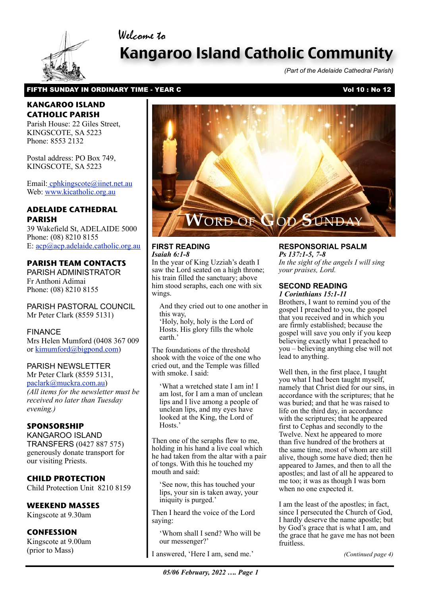## Welcome to



# Kangaroo Island Catholic Community

*(Part of the Adelaide Cathedral Parish)*

#### FIFTH SUNDAY IN ORDINARY TIME - YEAR C VOLUTION CONTROL TO MAKING WOLLOW AND THE VOLUTION OF  $\sim$  12

### **KANGAROO ISLAND CATHOLIC PARISH**

Parish House: 22 Giles Street, KINGSCOTE, SA 5223 Phone: 8553 2132

Postal address: PO Box 749, KINGSCOTE, SA 5223

Email[: cphkingscote@iinet.net.au](mailto:cphkingscote@iinet.net.au) Web: [www.kicatholic.org.au](http://www.kicatholic.org.au)

## **ADELAIDE CATHEDRAL PARISH**

39 Wakefield St, ADELAIDE 5000 Phone: (08) 8210 8155 E: [acp@acp.adelaide.catholic.org.au](mailto:?subject=)

## **PARISH TEAM CONTACTS**

PARISH ADMINISTRATOR Fr Anthoni Adimai Phone: (08) 8210 8155

PARISH PASTORAL COUNCIL Mr Peter Clark (8559 5131)

FINANCE Mrs Helen Mumford (0408 367 009 or [kimumford@bigpond.com\)](mailto:kimumford@bigpond.com)

#### PARISH NEWSLETTER

Mr Peter Clark (8559 5131, [paclark@muckra.com.au\)](mailto:paclark@muckra.com.au) *(All items for the newsletter must be received no later than Tuesday evening.)*

#### **SPONSORSHIP**

KANGAROO ISLAND TRANSFERS (0427 887 575) generously donate transport for our visiting Priests.

**CHILD PROTECTION** Child Protection Unit 8210 8159

#### **WEEKEND MASSES**

Kingscote at 9.30am

#### **CONFESSION**

Kingscote at 9.00am (prior to Mass)



#### **FIRST READING** *Isaiah 6:1-8*

In the year of King Uzziah's death I saw the Lord seated on a high throne; his train filled the sanctuary; above him stood seraphs, each one with six wings.

And they cried out to one another in this way,

'Holy, holy, holy is the Lord of Hosts. His glory fills the whole earth.'

The foundations of the threshold shook with the voice of the one who cried out, and the Temple was filled with smoke. I said:

'What a wretched state I am in! I am lost, for I am a man of unclean lips and I live among a people of unclean lips, and my eyes have looked at the King, the Lord of Hosts.'

Then one of the seraphs flew to me, holding in his hand a live coal which he had taken from the altar with a pair of tongs. With this he touched my mouth and said:

'See now, this has touched your lips, your sin is taken away, your iniquity is purged.'

Then I heard the voice of the Lord saying:

'Whom shall I send? Who will be our messenger?'

I answered, 'Here I am, send me.'

**RESPONSORIAL PSALM** *Ps 137:1-5, 7-8*

*In the sight of the angels I will sing your praises, Lord.*

## **SECOND READING**

*1 Corinthians 15:1-11* Brothers, I want to remind you of the gospel I preached to you, the gospel that you received and in which you are firmly established; because the gospel will save you only if you keep believing exactly what I preached to you – believing anything else will not lead to anything.

Well then, in the first place, I taught you what I had been taught myself, namely that Christ died for our sins, in accordance with the scriptures; that he was buried; and that he was raised to life on the third day, in accordance with the scriptures; that he appeared first to Cephas and secondly to the Twelve. Next he appeared to more than five hundred of the brothers at the same time, most of whom are still alive, though some have died; then he appeared to James, and then to all the apostles; and last of all he appeared to me too; it was as though I was born when no one expected it.

I am the least of the apostles; in fact, since I persecuted the Church of God, I hardly deserve the name apostle; but by God's grace that is what I am, and the grace that he gave me has not been fruitless.

*(Continued page 4)*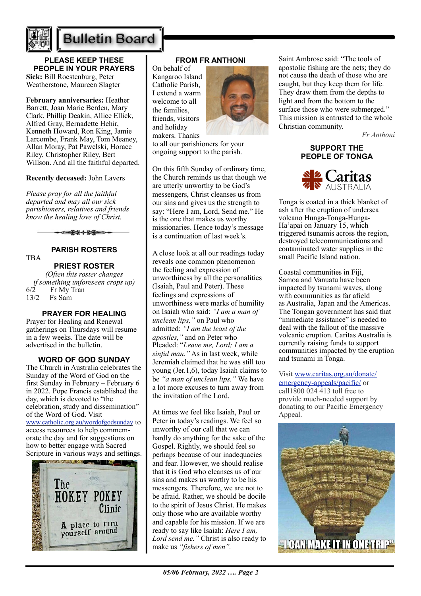

## **Bulletin Board**

**PLEASE KEEP THESE PEOPLE IN YOUR PRAYERS Sick:** Bill Roestenburg, Peter Weatherstone, Maureen Slagter

**February anniversaries:** Heather Barrett, Joan Marie Berden, Mary Clark, Phillip Deakin, Allice Ellick, Alfred Gray, Bernadette Hehir, Kenneth Howard, Ron King, Jamie Larcombe, Frank May, Tom Meaney, Allan Moray, Pat Pawelski, Horace Riley, Christopher Riley, Bert Willson. And all the faithful departed.

#### **Recently deceased:** John Lavers

*Please pray for all the faithful departed and may all our sick parishioners, relatives and friends know the healing love of Christ.*

<del>► ⊙≩X+X≨</del>

#### **PARISH ROSTERS**

TBA

## **PRIEST ROSTER**

*(Often this roster changes if something unforeseen crops up)* 6/2 Fr My Tran 13/2 Fs Sam

#### **PRAYER FOR HEALING**

Prayer for Healing and Renewal gatherings on Thursdays will resume in a few weeks. The date will be advertised in the bulletin.

#### **WORD OF GOD SUNDAY**

The Church in Australia celebrates the Sunday of the Word of God on the first Sunday in February – February 6 in 2022. Pope Francis established the day, which is devoted to "the celebration, study and dissemination" of the Word of God. Visit [www.catholic.org.au/wordofgodsunday](http://www.catholic.org.au/wordofgodsunday) to access resources to help commemorate the day and for suggestions on how to better engage with Sacred Scripture in various ways and settings.



#### **FROM FR ANTHONI**

On behalf of Kangaroo Island Catholic Parish, I extend a warm welcome to all the families, friends, visitors and holiday makers. Thanks



to all our parishioners for your ongoing support to the parish.

On this fifth Sunday of ordinary time, the Church reminds us that though we are utterly unworthy to be God's messengers, Christ cleanses us from our sins and gives us the strength to say: "Here I am, Lord, Send me." He is the one that makes us worthy missionaries. Hence today's message is a continuation of last week's.

A close look at all our readings today reveals one common phenomenon – the feeling and expression of unworthiness by all the personalities (Isaiah, Paul and Peter). These feelings and expressions of unworthiness were marks of humility on Isaiah who said: *"I am a man of unclean lips,"* on Paul who admitted: *"I am the least of the apostles,"* and on Peter who Pleaded: "*Leave me, Lord; I am a sinful man."* As in last week, while Jeremiah claimed that he was still too young (Jer.1,6), today Isaiah claims to be *"a man of unclean lips."* We have a lot more excuses to turn away from the invitation of the Lord.

At times we feel like Isaiah, Paul or Peter in today's readings. We feel so unworthy of our call that we can hardly do anything for the sake of the Gospel. Rightly, we should feel so perhaps because of our inadequacies and fear. However, we should realise that it is God who cleanses us of our sins and makes us worthy to be his messengers. Therefore, we are not to be afraid. Rather, we should be docile to the spirit of Jesus Christ. He makes only those who are available worthy and capable for his mission. If we are ready to say like Isaiah: *Here I am, Lord send me."* Christ is also ready to make us *"fishers of men".*

Saint Ambrose said: "The tools of apostolic fishing are the nets; they do not cause the death of those who are caught, but they keep them for life. They draw them from the depths to light and from the bottom to the surface those who were submerged." This mission is entrusted to the whole Christian community.

*Fr Anthoni*

#### **SUPPORT THE PEOPLE OF TONGA**



Tonga is coated in a thick blanket of ash after the eruption of undersea volcano Hunga-Tonga-Hunga-Ha'apai on January 15, which triggered tsunamis across the region, destroyed telecommunications and contaminated water supplies in the small Pacific Island nation.

Coastal communities in Fiji, Samoa and Vanuatu have been impacted by tsunami waves, along with communities as far afield as Australia, Japan and the Americas. The Tongan government has said that "immediate assistance" is needed to deal with the fallout of the massive volcanic eruption. Caritas Australia is currently raising funds to support communities impacted by the eruption and tsunami in Tonga.

Visit [www.caritas.org.au/donate/](http://www.caritas.org.au/donate/emergency-appeals/pacific/) [emergency-appeals/pacific/](http://www.caritas.org.au/donate/emergency-appeals/pacific/) or call1800 024 413 toll free to provide much-needed support by donating to our Pacific Emergency Appeal.

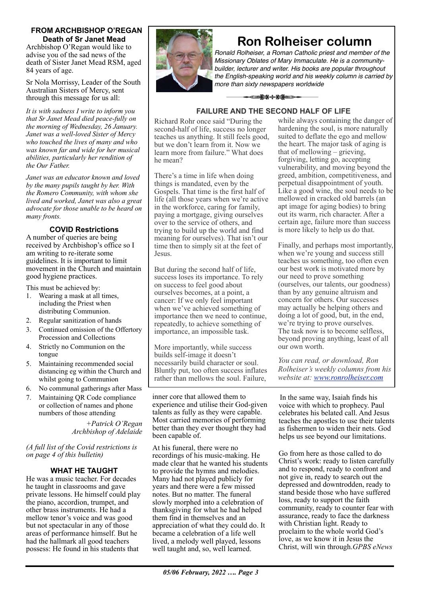#### **FROM ARCHBISHOP O'REGAN Death of Sr Janet Mead**

Archbishop O'Regan would like to advise you of the sad news of the death of Sister Janet Mead RSM, aged 84 years of age.

Sr Nola Morrissy, Leader of the South Australian Sisters of Mercy, sent through this message for us all:

*It is with sadness I write to inform you that Sr Janet Mead died peace-fully on the morning of Wednesday, 26 January. Janet was a well-loved Sister of Mercy who touched the lives of many and who was known far and wide for her musical abilities, particularly her rendition of the Our Father.*

*Janet was an educator known and loved by the many pupils taught by her. With the Romero Community, with whom she lived and worked, Janet was also a great advocate for those unable to be heard on many fronts.*

## **COVID Restrictions**

A number of queries are being received by Archbishop's office so I am writing to re-iterate some guidelines. It is important to limit movement in the Church and maintain good hygiene practices.

This must be achieved by:

- 1. Wearing a mask at all times, including the Priest when distributing Communion.
- 2. Regular sanitization of hands
- 3. Continued omission of the Offertory Procession and Collections
- 4. Strictly no Communion on the tongue
- 5. Maintaining recommended social distancing eg within the Church and whilst going to Communion
- 6. No communal gatherings after Mass
- 7. Maintaining QR Code compliance or collection of names and phone numbers of those attending

*+Patrick O'Regan Archbishop of Adelaide*

*(A full list of the Covid restrictions is on page 4 of this bulletin)*

#### **WHAT HE TAUGHT**

He was a music teacher. For decades he taught in classrooms and gave private lessons. He himself could play the piano, accordion, trumpet, and other brass instruments. He had a mellow tenor's voice and was good but not spectacular in any of those areas of performance himself. But he had the hallmark all good teachers possess: He found in his students that



## **Ron Rolheiser column**

*Ronald Rolheiser, a Roman Catholic priest and member of the Missionary Oblates of Mary Immaculate. He is a communitybuilder, lecturer and writer. His books are popular throughout the English-speaking world and his weekly column is carried by more than sixty newspapers worldwide*

#### ▅<del>⋭</del>⋕⊹⋡⋚⋹⋺⊷

#### **FAILURE AND THE SECOND HALF OF LIFE**

Richard Rohr once said "During the second-half of life, success no longer teaches us anything. It still feels good, but we don't learn from it. Now we learn more from failure." What does he mean?

There's a time in life when doing things is mandated, even by the Gospels. That time is the first half of life (all those years when we're active in the workforce, caring for family, paying a mortgage, giving ourselves over to the service of others, and trying to build up the world and find meaning for ourselves). That isn't our time then to simply sit at the feet of Jesus.

But during the second half of life, success loses its importance. To rely on success to feel good about ourselves becomes, at a point, a cancer: If we only feel important when we've achieved something of importance then we need to continue, repeatedly, to achieve something of importance, an impossible task.

More importantly, while success builds self-image it doesn't necessarily build character or soul. Bluntly put, too often success inflates rather than mellows the soul. Failure,

inner core that allowed them to experience and utilise their God-given talents as fully as they were capable. Most carried memories of performing better than they ever thought they had been capable of.

At his funeral, there were no recordings of his music-making. He made clear that he wanted his students to provide the hymns and melodies. Many had not played publicly for years and there were a few missed notes. But no matter. The funeral slowly morphed into a celebration of thanksgiving for what he had helped them find in themselves and an appreciation of what they could do. It became a celebration of a life well lived, a melody well played, lessons well taught and, so, well learned.

while always containing the danger of hardening the soul, is more naturally suited to deflate the ego and mellow the heart. The major task of aging is that of mellowing – grieving, forgiving, letting go, accepting vulnerability, and moving beyond the greed, ambition, competitiveness, and perpetual disappointment of youth. Like a good wine, the soul needs to be mellowed in cracked old barrels (an apt image for aging bodies) to bring out its warm, rich character. After a certain age, failure more than success is more likely to help us do that.

Finally, and perhaps most importantly, when we're young and success still teaches us something, too often even our best work is motivated more by our need to prove something (ourselves, our talents, our goodness) than by any genuine altruism and concern for others. Our successes may actually be helping others and doing a lot of good, but, in the end, we're trying to prove ourselves. The task now is to become selfless, beyond proving anything, least of all our own worth.

*You can read, or download, Ron Rolheiser's weekly columns from his website at: www.ronrolheiser.com*

In the same way, Isaiah finds his voice with which to prophecy. Paul celebrates his belated call. And Jesus teaches the apostles to use their talents as fishermen to widen their nets. God helps us see beyond our limitations.

Go from here as those called to do Christ's work: ready to listen carefully and to respond, ready to confront and not give in, ready to search out the depressed and downtrodden, ready to stand beside those who have suffered loss, ready to support the faith community, ready to counter fear with assurance, ready to face the darkness with Christian light. Ready to proclaim to the whole world God's love, as we know it in Jesus the Christ, will win through.*GPBS eNews*